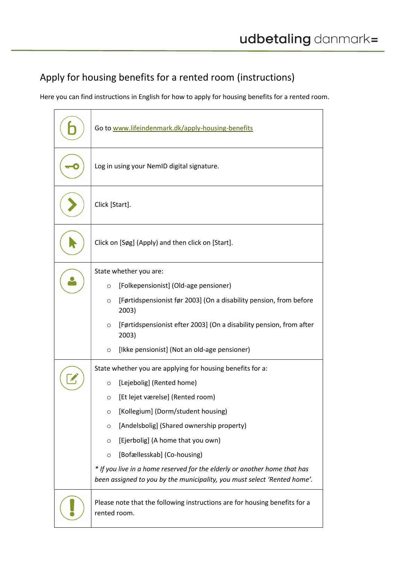## Apply for housing benefits for a rented room (instructions)

Here you can find instructions in English for how to apply for housing benefits for a rented room.

| Go to www.lifeindenmark.dk/apply-housing-benefits                                                                                                                                                                                                                                                                                                                                                                                                                                           |  |
|---------------------------------------------------------------------------------------------------------------------------------------------------------------------------------------------------------------------------------------------------------------------------------------------------------------------------------------------------------------------------------------------------------------------------------------------------------------------------------------------|--|
| Log in using your NemID digital signature.                                                                                                                                                                                                                                                                                                                                                                                                                                                  |  |
| Click [Start].                                                                                                                                                                                                                                                                                                                                                                                                                                                                              |  |
| Click on [Søg] (Apply) and then click on [Start].                                                                                                                                                                                                                                                                                                                                                                                                                                           |  |
| State whether you are:                                                                                                                                                                                                                                                                                                                                                                                                                                                                      |  |
| [Folkepensionist] (Old-age pensioner)<br>$\circ$<br>[Førtidspensionist før 2003] (On a disability pension, from before<br>$\circ$<br>2003)                                                                                                                                                                                                                                                                                                                                                  |  |
| [Førtidspensionist efter 2003] (On a disability pension, from after<br>$\circ$<br>2003)                                                                                                                                                                                                                                                                                                                                                                                                     |  |
| [Ikke pensionist] (Not an old-age pensioner)<br>O                                                                                                                                                                                                                                                                                                                                                                                                                                           |  |
| State whether you are applying for housing benefits for a:<br>[Lejebolig] (Rented home)<br>O<br>[Et lejet værelse] (Rented room)<br>O<br>[Kollegium] (Dorm/student housing)<br>O<br>[Andelsbolig] (Shared ownership property)<br>$\circ$<br>[Ejerbolig] (A home that you own)<br>$\circ$<br>[Bofællesskab] (Co-housing)<br>$\circ$<br>* If you live in a home reserved for the elderly or another home that has<br>been assigned to you by the municipality, you must select 'Rented home'. |  |
| Please note that the following instructions are for housing benefits for a<br>rented room.                                                                                                                                                                                                                                                                                                                                                                                                  |  |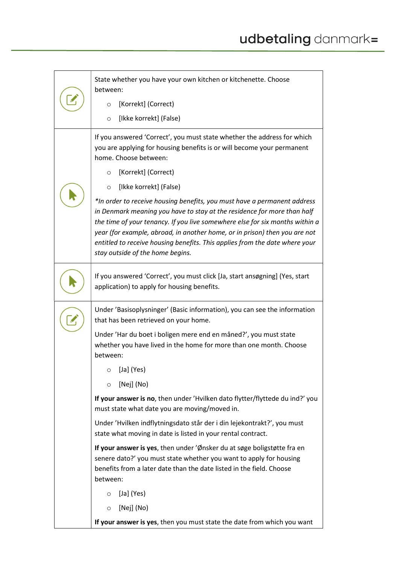|  | State whether you have your own kitchen or kitchenette. Choose<br>between:                                                                                                                                                                                                                                                                                                                                                           |  |  |
|--|--------------------------------------------------------------------------------------------------------------------------------------------------------------------------------------------------------------------------------------------------------------------------------------------------------------------------------------------------------------------------------------------------------------------------------------|--|--|
|  | [Korrekt] (Correct)<br>$\circ$                                                                                                                                                                                                                                                                                                                                                                                                       |  |  |
|  | [Ikke korrekt] (False)<br>$\circ$                                                                                                                                                                                                                                                                                                                                                                                                    |  |  |
|  | If you answered 'Correct', you must state whether the address for which<br>you are applying for housing benefits is or will become your permanent<br>home. Choose between:                                                                                                                                                                                                                                                           |  |  |
|  | [Korrekt] (Correct)<br>$\circ$                                                                                                                                                                                                                                                                                                                                                                                                       |  |  |
|  | [Ikke korrekt] (False)<br>$\circ$                                                                                                                                                                                                                                                                                                                                                                                                    |  |  |
|  | *In order to receive housing benefits, you must have a permanent address<br>in Denmark meaning you have to stay at the residence for more than half<br>the time of your tenancy. If you live somewhere else for six months within a<br>year (for example, abroad, in another home, or in prison) then you are not<br>entitled to receive housing benefits. This applies from the date where your<br>stay outside of the home begins. |  |  |
|  | If you answered 'Correct', you must click [Ja, start ansøgning] (Yes, start<br>application) to apply for housing benefits.                                                                                                                                                                                                                                                                                                           |  |  |
|  | Under 'Basisoplysninger' (Basic information), you can see the information<br>that has been retrieved on your home.                                                                                                                                                                                                                                                                                                                   |  |  |
|  | Under 'Har du boet i boligen mere end en måned?', you must state<br>whether you have lived in the home for more than one month. Choose<br>between:                                                                                                                                                                                                                                                                                   |  |  |
|  | [Ja] (Yes)<br>O                                                                                                                                                                                                                                                                                                                                                                                                                      |  |  |
|  | [Nej] (No)<br>$\circ$                                                                                                                                                                                                                                                                                                                                                                                                                |  |  |
|  | If your answer is no, then under 'Hvilken dato flytter/flyttede du ind?' you<br>must state what date you are moving/moved in.                                                                                                                                                                                                                                                                                                        |  |  |
|  | Under 'Hvilken indflytningsdato står der i din lejekontrakt?', you must<br>state what moving in date is listed in your rental contract.                                                                                                                                                                                                                                                                                              |  |  |
|  | If your answer is yes, then under 'Ønsker du at søge boligstøtte fra en<br>senere dato?' you must state whether you want to apply for housing<br>benefits from a later date than the date listed in the field. Choose<br>between:                                                                                                                                                                                                    |  |  |
|  | [Ja] (Yes)<br>O                                                                                                                                                                                                                                                                                                                                                                                                                      |  |  |
|  | [Nej] (No)<br>$\circ$                                                                                                                                                                                                                                                                                                                                                                                                                |  |  |
|  | If your answer is yes, then you must state the date from which you want                                                                                                                                                                                                                                                                                                                                                              |  |  |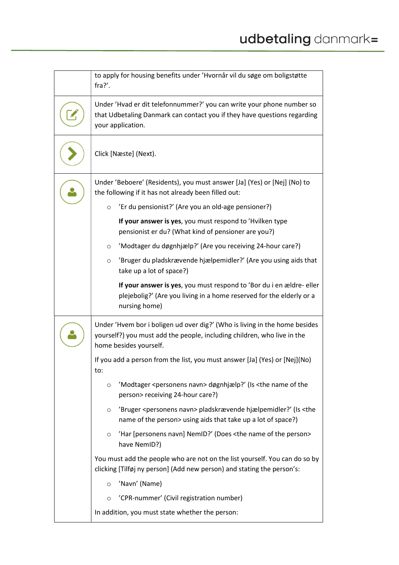| to apply for housing benefits under 'Hvornår vil du søge om boligstøtte<br>fra?'.                                                                                                |  |  |
|----------------------------------------------------------------------------------------------------------------------------------------------------------------------------------|--|--|
| Under 'Hvad er dit telefonnummer?' you can write your phone number so<br>that Udbetaling Danmark can contact you if they have questions regarding<br>your application.           |  |  |
| Click [Næste] (Next).                                                                                                                                                            |  |  |
| Under 'Beboere' (Residents), you must answer [Ja] (Yes) or [Nej] (No) to<br>the following if it has not already been filled out:                                                 |  |  |
| 'Er du pensionist?' (Are you an old-age pensioner?)<br>$\circ$                                                                                                                   |  |  |
| If your answer is yes, you must respond to 'Hvilken type<br>pensionist er du? (What kind of pensioner are you?)                                                                  |  |  |
| 'Modtager du døgnhjælp?' (Are you receiving 24-hour care?)<br>$\circ$                                                                                                            |  |  |
| 'Bruger du pladskrævende hjælpemidler?' (Are you using aids that<br>$\circ$<br>take up a lot of space?)                                                                          |  |  |
| If your answer is yes, you must respond to 'Bor du i en ældre- eller<br>plejebolig?' (Are you living in a home reserved for the elderly or a<br>nursing home)                    |  |  |
| Under 'Hvem bor i boligen ud over dig?' (Who is living in the home besides<br>yourself?) you must add the people, including children, who live in the<br>home besides yourself.  |  |  |
| If you add a person from the list, you must answer [Ja] (Yes) or [Nej](No)<br>το:                                                                                                |  |  |
| 'Modtager <personens navn=""> døgnhjælp?' (Is <the name="" of="" the<br=""><math display="inline">\circ</math><br/>person&gt; receiving 24-hour care?)</the></personens>         |  |  |
| 'Bruger <personens navn=""> pladskrævende hjælpemidler?' (Is <the<br><math>\circ</math><br/>name of the person&gt; using aids that take up a lot of space?)</the<br></personens> |  |  |
| 'Har [personens navn] NemID?' (Does <the name="" of="" person="" the=""><br/><math>\circ</math><br/>have NemID?)</the>                                                           |  |  |
| You must add the people who are not on the list yourself. You can do so by<br>clicking [Tilføj ny person] (Add new person) and stating the person's:                             |  |  |
| 'Navn' (Name)<br>$\circ$                                                                                                                                                         |  |  |
| 'CPR-nummer' (Civil registration number)<br>$\circ$                                                                                                                              |  |  |
| In addition, you must state whether the person:                                                                                                                                  |  |  |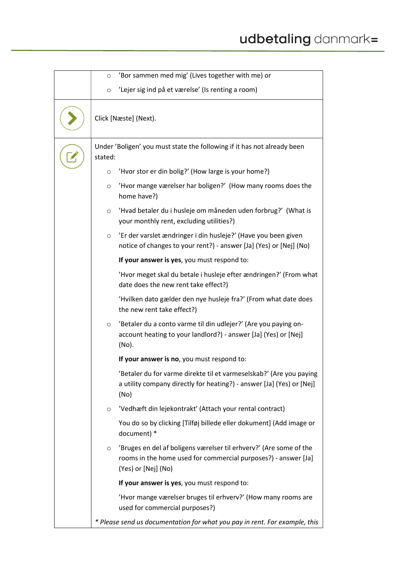| 'Bor sammen med mig' (Lives together with me) or<br>$\circ$                                                                                                            |  |  |
|------------------------------------------------------------------------------------------------------------------------------------------------------------------------|--|--|
| 'Lejer sig ind på et værelse' (Is renting a room)<br>$\circ$                                                                                                           |  |  |
| Click [Næste] (Next).                                                                                                                                                  |  |  |
| Under 'Boligen' you must state the following if it has not already been<br>stated:                                                                                     |  |  |
| 'Hvor stor er din bolig?' (How large is your home?)<br>$\circ$                                                                                                         |  |  |
| 'Hvor mange værelser har boligen?' (How many rooms does the<br>$\circ$<br>home have?)                                                                                  |  |  |
| 'Hvad betaler du i husleje om måneden uden forbrug?' (What is<br>$\circ$<br>your monthly rent, excluding utilities?)                                                   |  |  |
| 'Er der varslet ændringer i din husleje?' (Have you been given<br>$\circ$<br>notice of changes to your rent?) - answer [Ja] (Yes) or [Nej] (No)                        |  |  |
| If your answer is yes, you must respond to:                                                                                                                            |  |  |
| 'Hvor meget skal du betale i husleje efter ændringen?' (From what<br>date does the new rent take effect?)                                                              |  |  |
| 'Hvilken dato gælder den nye husleje fra?' (From what date does<br>the new rent take effect?)                                                                          |  |  |
| 'Betaler du a conto varme til din udlejer?' (Are you paying on-<br>$\circ$<br>account heating to your landlord?) - answer [Ja] (Yes) or [Nej]<br>(No).                 |  |  |
| If your answer is no, you must respond to:                                                                                                                             |  |  |
| Betaler du for varme direkte til et varmeselskab?' (Are you paying<br>a utility company directly for heating?) - answer [Ja] (Yes) or [Nej]<br>(No)                    |  |  |
| 'Vedhæft din lejekontrakt' (Attach your rental contract)<br>$\circ$                                                                                                    |  |  |
| You do so by clicking [Tilføj billede eller dokument] (Add image or<br>document) *                                                                                     |  |  |
| 'Bruges en del af boligens værelser til erhverv?' (Are some of the<br>$\circ$<br>rooms in the home used for commercial purposes?) - answer [Ja]<br>(Yes) or [Nej] (No) |  |  |
| If your answer is yes, you must respond to:                                                                                                                            |  |  |
| 'Hvor mange værelser bruges til erhverv?' (How many rooms are<br>used for commercial purposes?)                                                                        |  |  |
| * Please send us documentation for what you pay in rent. For example, this                                                                                             |  |  |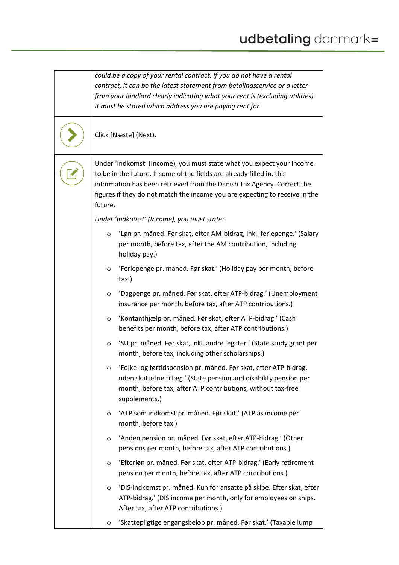| could be a copy of your rental contract. If you do not have a rental<br>contract, it can be the latest statement from betalingsservice or a letter<br>from your landlord clearly indicating what your rent is (excluding utilities).<br>It must be stated which address you are paying rent for.                    |  |  |
|---------------------------------------------------------------------------------------------------------------------------------------------------------------------------------------------------------------------------------------------------------------------------------------------------------------------|--|--|
| Click [Næste] (Next).                                                                                                                                                                                                                                                                                               |  |  |
| Under 'Indkomst' (Income), you must state what you expect your income<br>to be in the future. If some of the fields are already filled in, this<br>information has been retrieved from the Danish Tax Agency. Correct the<br>figures if they do not match the income you are expecting to receive in the<br>future. |  |  |
| Under 'Indkomst' (Income), you must state:                                                                                                                                                                                                                                                                          |  |  |
| 'Løn pr. måned. Før skat, efter AM-bidrag, inkl. feriepenge.' (Salary<br>$\circ$<br>per month, before tax, after the AM contribution, including<br>holiday pay.)                                                                                                                                                    |  |  |
| 'Feriepenge pr. måned. Før skat.' (Holiday pay per month, before<br>$\circ$<br>tax.)                                                                                                                                                                                                                                |  |  |
| 'Dagpenge pr. måned. Før skat, efter ATP-bidrag.' (Unemployment<br>$\circ$<br>insurance per month, before tax, after ATP contributions.)                                                                                                                                                                            |  |  |
| 'Kontanthjælp pr. måned. Før skat, efter ATP-bidrag.' (Cash<br>$\circ$<br>benefits per month, before tax, after ATP contributions.)                                                                                                                                                                                 |  |  |
| 'SU pr. måned. Før skat, inkl. andre legater.' (State study grant per<br>$\circ$<br>month, before tax, including other scholarships.)                                                                                                                                                                               |  |  |
| 'Folke- og førtidspension pr. måned. Før skat, efter ATP-bidrag,<br>O<br>uden skattefrie tillæg.' (State pension and disability pension per<br>month, before tax, after ATP contributions, without tax-free<br>supplements.)                                                                                        |  |  |
| 'ATP som indkomst pr. måned. Før skat.' (ATP as income per<br>$\circ$<br>month, before tax.)                                                                                                                                                                                                                        |  |  |
| 'Anden pension pr. måned. Før skat, efter ATP-bidrag.' (Other<br>$\circ$<br>pensions per month, before tax, after ATP contributions.)                                                                                                                                                                               |  |  |
| 'Efterløn pr. måned. Før skat, efter ATP-bidrag.' (Early retirement<br>$\circ$<br>pension per month, before tax, after ATP contributions.)                                                                                                                                                                          |  |  |
| 'DIS-indkomst pr. måned. Kun for ansatte på skibe. Efter skat, efter<br>$\circ$<br>ATP-bidrag.' (DIS income per month, only for employees on ships.<br>After tax, after ATP contributions.)                                                                                                                         |  |  |
| 'Skattepligtige engangsbeløb pr. måned. Før skat.' (Taxable lump<br>$\circ$                                                                                                                                                                                                                                         |  |  |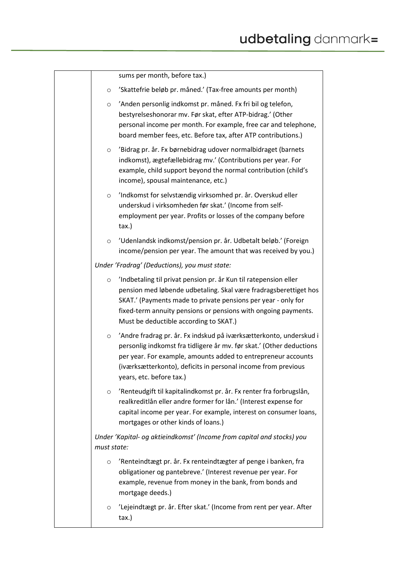|             | sums per month, before tax.)                                                                                                                                                                                                                                                                                      |
|-------------|-------------------------------------------------------------------------------------------------------------------------------------------------------------------------------------------------------------------------------------------------------------------------------------------------------------------|
| O           | 'Skattefrie beløb pr. måned.' (Tax-free amounts per month)                                                                                                                                                                                                                                                        |
| $\circ$     | 'Anden personlig indkomst pr. måned. Fx fri bil og telefon,<br>bestyrelseshonorar mv. Før skat, efter ATP-bidrag.' (Other<br>personal income per month. For example, free car and telephone,<br>board member fees, etc. Before tax, after ATP contributions.)                                                     |
| O           | 'Bidrag pr. år. Fx børnebidrag udover normalbidraget (barnets<br>indkomst), ægtefællebidrag mv.' (Contributions per year. For<br>example, child support beyond the normal contribution (child's<br>income), spousal maintenance, etc.)                                                                            |
| $\circ$     | 'Indkomst for selvstændig virksomhed pr. år. Overskud eller<br>underskud i virksomheden før skat.' (Income from self-<br>employment per year. Profits or losses of the company before<br>tax.)                                                                                                                    |
| O           | 'Udenlandsk indkomst/pension pr. år. Udbetalt beløb.' (Foreign<br>income/pension per year. The amount that was received by you.)                                                                                                                                                                                  |
|             | Under 'Fradrag' (Deductions), you must state:                                                                                                                                                                                                                                                                     |
| $\circ$     | 'Indbetaling til privat pension pr. år Kun til ratepension eller<br>pension med løbende udbetaling. Skal være fradragsberettiget hos<br>SKAT.' (Payments made to private pensions per year - only for<br>fixed-term annuity pensions or pensions with ongoing payments.<br>Must be deductible according to SKAT.) |
| $\circ$     | 'Andre fradrag pr. år. Fx indskud på iværksætterkonto, underskud i<br>personlig indkomst fra tidligere år mv. før skat.' (Other deductions<br>per year. For example, amounts added to entrepreneur accounts<br>(iværksætterkonto), deficits in personal income from previous<br>years, etc. before tax.)          |
| $\circ$     | 'Renteudgift til kapitalindkomst pr. år. Fx renter fra forbrugslån,<br>realkreditlån eller andre former for lån.' (Interest expense for<br>capital income per year. For example, interest on consumer loans,<br>mortgages or other kinds of loans.)                                                               |
| must state: | Under 'Kapital- og aktieindkomst' (Income from capital and stocks) you                                                                                                                                                                                                                                            |
| O           | 'Renteindtægt pr. år. Fx renteindtægter af penge i banken, fra<br>obligationer og pantebreve.' (Interest revenue per year. For<br>example, revenue from money in the bank, from bonds and<br>mortgage deeds.)                                                                                                     |
| O           | 'Lejeindtægt pr. år. Efter skat.' (Income from rent per year. After<br>tax.)                                                                                                                                                                                                                                      |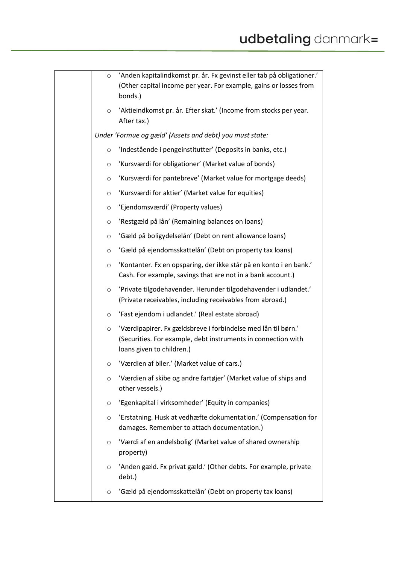| $\circ$ | 'Anden kapitalindkomst pr. år. Fx gevinst eller tab på obligationer.'<br>(Other capital income per year. For example, gains or losses from<br>bonds.)       |
|---------|-------------------------------------------------------------------------------------------------------------------------------------------------------------|
| $\circ$ | 'Aktieindkomst pr. år. Efter skat.' (Income from stocks per year.<br>After tax.)                                                                            |
|         | Under 'Formue og gæld' (Assets and debt) you must state:                                                                                                    |
| $\circ$ | 'Indestående i pengeinstitutter' (Deposits in banks, etc.)                                                                                                  |
| $\circ$ | 'Kursværdi for obligationer' (Market value of bonds)                                                                                                        |
| O       | 'Kursværdi for pantebreve' (Market value for mortgage deeds)                                                                                                |
| $\circ$ | 'Kursværdi for aktier' (Market value for equities)                                                                                                          |
| $\circ$ | 'Ejendomsværdi' (Property values)                                                                                                                           |
| $\circ$ | 'Restgæld på lån' (Remaining balances on loans)                                                                                                             |
| $\circ$ | 'Gæld på boligydelselån' (Debt on rent allowance loans)                                                                                                     |
| $\circ$ | 'Gæld på ejendomsskattelån' (Debt on property tax loans)                                                                                                    |
| $\circ$ | 'Kontanter. Fx en opsparing, der ikke står på en konto i en bank.'<br>Cash. For example, savings that are not in a bank account.)                           |
| $\circ$ | 'Private tilgodehavender. Herunder tilgodehavender i udlandet.'<br>(Private receivables, including receivables from abroad.)                                |
| $\circ$ | 'Fast ejendom i udlandet.' (Real estate abroad)                                                                                                             |
| $\circ$ | 'Værdipapirer. Fx gældsbreve i forbindelse med lån til børn.'<br>(Securities. For example, debt instruments in connection with<br>loans given to children.) |
| O       | 'Værdien af biler.' (Market value of cars.)                                                                                                                 |
| $\circ$ | 'Værdien af skibe og andre fartøjer' (Market value of ships and<br>other vessels.)                                                                          |
| $\circ$ | 'Egenkapital i virksomheder' (Equity in companies)                                                                                                          |
| $\circ$ | 'Erstatning. Husk at vedhæfte dokumentation.' (Compensation for<br>damages. Remember to attach documentation.)                                              |
| O       | 'Værdi af en andelsbolig' (Market value of shared ownership<br>property)                                                                                    |
| $\circ$ | 'Anden gæld. Fx privat gæld.' (Other debts. For example, private<br>debt.)                                                                                  |
| $\circ$ | 'Gæld på ejendomsskattelån' (Debt on property tax loans)                                                                                                    |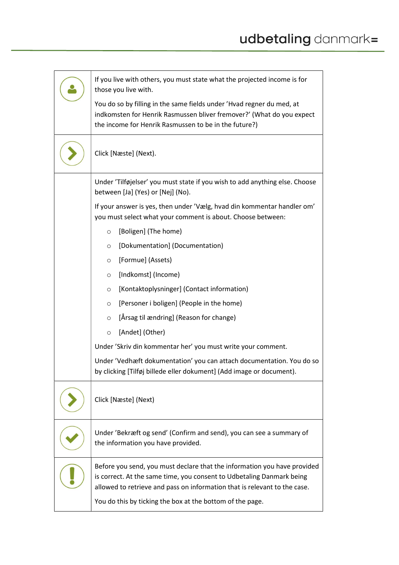| If you live with others, you must state what the projected income is for<br>those you live with.                                                                                                                               |  |  |  |
|--------------------------------------------------------------------------------------------------------------------------------------------------------------------------------------------------------------------------------|--|--|--|
| You do so by filling in the same fields under 'Hvad regner du med, at<br>indkomsten for Henrik Rasmussen bliver fremover?' (What do you expect<br>the income for Henrik Rasmussen to be in the future?)                        |  |  |  |
| Click [Næste] (Next).                                                                                                                                                                                                          |  |  |  |
| Under 'Tilføjelser' you must state if you wish to add anything else. Choose<br>between [Ja] (Yes) or [Nej] (No).                                                                                                               |  |  |  |
| If your answer is yes, then under 'Vælg, hvad din kommentar handler om'<br>you must select what your comment is about. Choose between:                                                                                         |  |  |  |
| [Boligen] (The home)<br>$\circ$                                                                                                                                                                                                |  |  |  |
| [Dokumentation] (Documentation)<br>O                                                                                                                                                                                           |  |  |  |
| [Formue] (Assets)<br>$\circ$                                                                                                                                                                                                   |  |  |  |
| [Indkomst] (Income)<br>$\circ$                                                                                                                                                                                                 |  |  |  |
| [Kontaktoplysninger] (Contact information)<br>$\circ$                                                                                                                                                                          |  |  |  |
| [Personer i boligen] (People in the home)<br>$\circ$                                                                                                                                                                           |  |  |  |
| [Årsag til ændring] (Reason for change)<br>$\circ$                                                                                                                                                                             |  |  |  |
| [Andet] (Other)<br>$\circ$                                                                                                                                                                                                     |  |  |  |
| Under 'Skriv din kommentar her' you must write your comment.                                                                                                                                                                   |  |  |  |
| Under 'Vedhæft dokumentation' you can attach documentation. You do so<br>by clicking [Tilføj billede eller dokument] (Add image or document).                                                                                  |  |  |  |
| Click [Næste] (Next)                                                                                                                                                                                                           |  |  |  |
| Under 'Bekræft og send' (Confirm and send), you can see a summary of<br>the information you have provided.                                                                                                                     |  |  |  |
| Before you send, you must declare that the information you have provided<br>is correct. At the same time, you consent to Udbetaling Danmark being<br>allowed to retrieve and pass on information that is relevant to the case. |  |  |  |
| You do this by ticking the box at the bottom of the page.                                                                                                                                                                      |  |  |  |